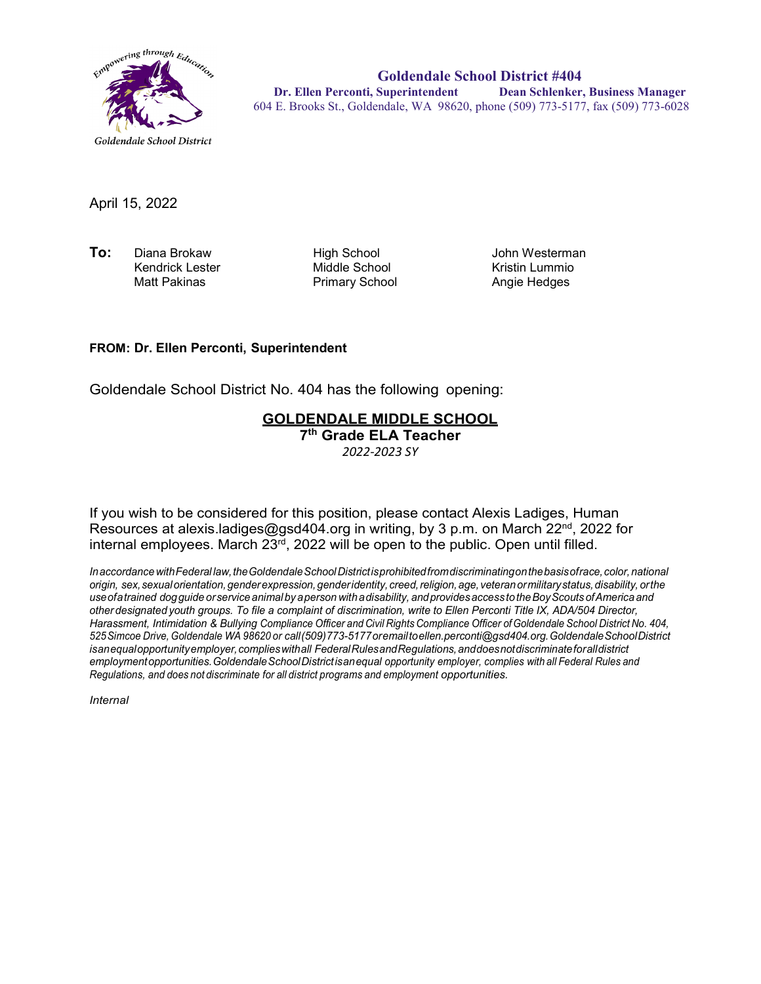

**Goldendale School District #404 Dr. Ellen Perconti, Superintendent Dean Schlenker, Business Manager** 604 E. Brooks St., Goldendale, WA 98620, phone (509) 773-5177, fax (509) 773-6028

April 15, 2022

**To:** Diana Brokaw High School John Westerman Kendrick Lester Middle School Kristin Lummio

Primary School

## **FROM: Dr. Ellen Perconti, Superintendent**

Goldendale School District No. 404 has the following opening:

## **GOLDENDALE MIDDLE SCHOOL**

**7th Grade ELA Teacher**

*2022-2023 SY*

If you wish to be considered for this position, please contact Alexis Ladiges, Human Resources at alexis.ladiges@gsd404.org in writing, by 3 p.m. on March 22<sup>nd</sup>, 2022 for internal employees. March  $23<sup>rd</sup>$ , 2022 will be open to the public. Open until filled.

*InaccordancewithFederal law,theGoldendaleSchoolDistrictisprohibitedfromdiscriminatingonthebasisofrace,color,national origin, sex,sexualorientation,genderexpression,genderidentity, creed,religion,age, veteranormilitarystatus,disability, orthe useofatrained dogguide orservice animal by aperson withadisability, andprovidesaccess totheBoyScouts ofAmerica and other designated youth groups. To file a complaint of discrimination, write to Ellen Perconti Title IX, ADA/504 Director, Harassment, Intimidation & Bullying Compliance Officer and Civil Rights Compliance Officer ofGoldendale School District No. 404, 525Simcoe Drive, Goldendale WA 98620 or call(509)773-5177oremailt[oellen.perconti@gsd404.org.G](mailto:ellen.perconti@gsd404.org)oldendaleSchoolDistrict isanequalopportunityemployer,complieswithall FederalRulesandRegulations,anddoesnotdiscriminateforalldistrict employmentopportunities.GoldendaleSchoolDistrictisanequal opportunity employer, complies with all Federal Rules and Regulations, and does not discriminate for all district programs and employment opportunities.*

*Internal*